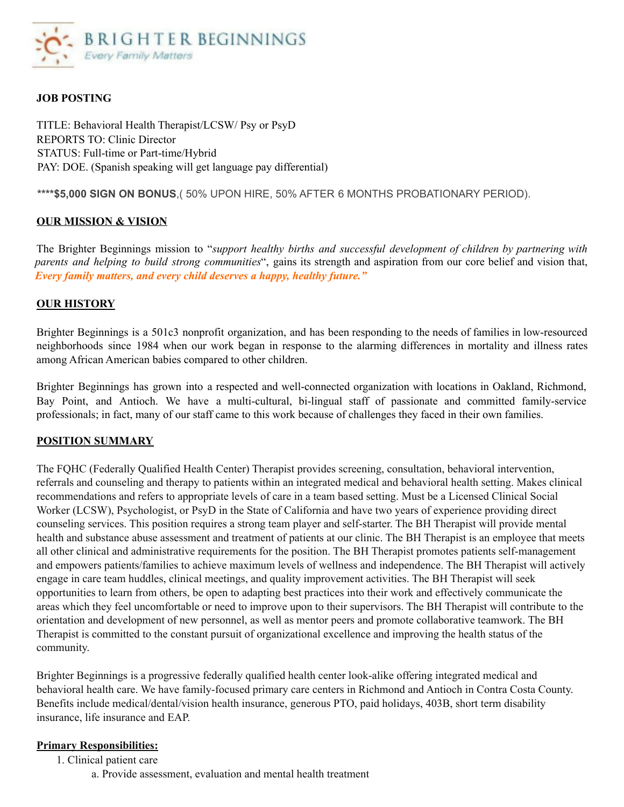

### **JOB POSTING**

TITLE: Behavioral Health Therapist/LCSW/ Psy or PsyD REPORTS TO: Clinic Director STATUS: Full-time or Part-time/Hybrid PAY: DOE. (Spanish speaking will get language pay differential)

**\*\*\*\*\$5,000 SIGN ON BONUS**,( 50% UPON HIRE, 50% AFTER 6 MONTHS PROBATIONARY PERIOD).

### **OUR MISSION & VISION**

The Brighter Beginnings mission to "*support healthy births and successful development of children by partnering with parents and helping to build strong communities*", gains its strength and aspiration from our core belief and vision that, *Every family matters, and every child deserves a happy, healthy future."*

### **OUR HISTORY**

Brighter Beginnings is a 501c3 nonprofit organization, and has been responding to the needs of families in low-resourced neighborhoods since 1984 when our work began in response to the alarming differences in mortality and illness rates among African American babies compared to other children.

Brighter Beginnings has grown into a respected and well-connected organization with locations in Oakland, Richmond, Bay Point, and Antioch. We have a multi-cultural, bi-lingual staff of passionate and committed family-service professionals; in fact, many of our staff came to this work because of challenges they faced in their own families.

#### **POSITION SUMMARY**

The FQHC (Federally Qualified Health Center) Therapist provides screening, consultation, behavioral intervention, referrals and counseling and therapy to patients within an integrated medical and behavioral health setting. Makes clinical recommendations and refers to appropriate levels of care in a team based setting. Must be a Licensed Clinical Social Worker (LCSW), Psychologist, or PsyD in the State of California and have two years of experience providing direct counseling services. This position requires a strong team player and self-starter. The BH Therapist will provide mental health and substance abuse assessment and treatment of patients at our clinic. The BH Therapist is an employee that meets all other clinical and administrative requirements for the position. The BH Therapist promotes patients self-management and empowers patients/families to achieve maximum levels of wellness and independence. The BH Therapist will actively engage in care team huddles, clinical meetings, and quality improvement activities. The BH Therapist will seek opportunities to learn from others, be open to adapting best practices into their work and effectively communicate the areas which they feel uncomfortable or need to improve upon to their supervisors. The BH Therapist will contribute to the orientation and development of new personnel, as well as mentor peers and promote collaborative teamwork. The BH Therapist is committed to the constant pursuit of organizational excellence and improving the health status of the community.

Brighter Beginnings is a progressive federally qualified health center look-alike offering integrated medical and behavioral health care. We have family-focused primary care centers in Richmond and Antioch in Contra Costa County. Benefits include medical/dental/vision health insurance, generous PTO, paid holidays, 403B, short term disability insurance, life insurance and EAP.

#### **Primary Responsibilities:**

1. Clinical patient care

a. Provide assessment, evaluation and mental health treatment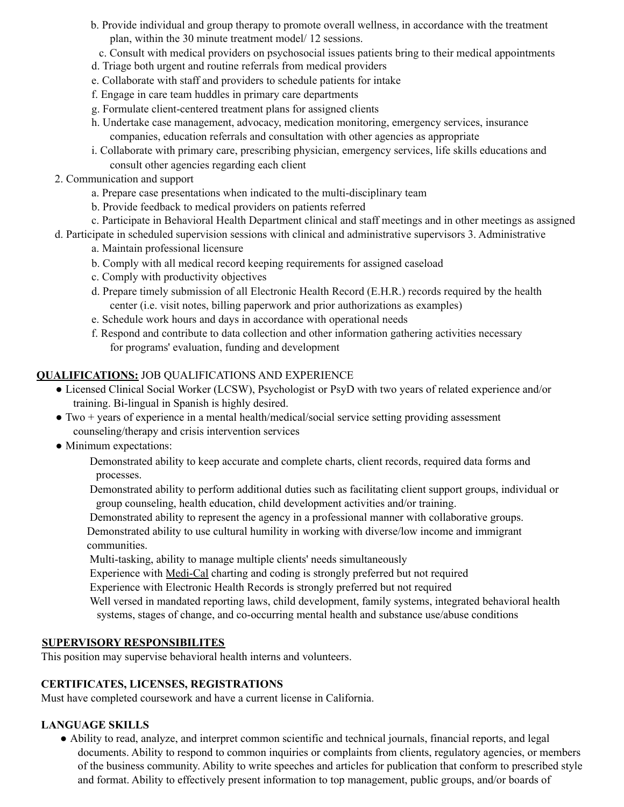- b. Provide individual and group therapy to promote overall wellness, in accordance with the treatment plan, within the 30 minute treatment model/ 12 sessions.
- c. Consult with medical providers on psychosocial issues patients bring to their medical appointments
- d. Triage both urgent and routine referrals from medical providers
- e. Collaborate with staff and providers to schedule patients for intake
- f. Engage in care team huddles in primary care departments
- g. Formulate client-centered treatment plans for assigned clients
- h. Undertake case management, advocacy, medication monitoring, emergency services, insurance companies, education referrals and consultation with other agencies as appropriate
- i. Collaborate with primary care, prescribing physician, emergency services, life skills educations and consult other agencies regarding each client
- 2. Communication and support
	- a. Prepare case presentations when indicated to the multi-disciplinary team
	- b. Provide feedback to medical providers on patients referred
	- c. Participate in Behavioral Health Department clinical and staff meetings and in other meetings as assigned
- d. Participate in scheduled supervision sessions with clinical and administrative supervisors 3. Administrative
	- a. Maintain professional licensure
	- b. Comply with all medical record keeping requirements for assigned caseload
	- c. Comply with productivity objectives
	- d. Prepare timely submission of all Electronic Health Record (E.H.R.) records required by the health center (i.e. visit notes, billing paperwork and prior authorizations as examples)
	- e. Schedule work hours and days in accordance with operational needs
	- f. Respond and contribute to data collection and other information gathering activities necessary for programs' evaluation, funding and development

# **QUALIFICATIONS:** JOB QUALIFICATIONS AND EXPERIENCE

- Licensed Clinical Social Worker (LCSW), Psychologist or PsyD with two years of related experience and/or training. Bi-lingual in Spanish is highly desired.
- $\bullet$  Two + years of experience in a mental health/medical/social service setting providing assessment counseling/therapy and crisis intervention services
- Minimum expectations:

Demonstrated ability to keep accurate and complete charts, client records, required data forms and processes.

Demonstrated ability to perform additional duties such as facilitating client support groups, individual or group counseling, health education, child development activities and/or training.

Demonstrated ability to represent the agency in a professional manner with collaborative groups. Demonstrated ability to use cultural humility in working with diverse/low income and immigrant communities.

Multi-tasking, ability to manage multiple clients' needs simultaneously

Experience with Medi-Cal charting and coding is strongly preferred but not required

Experience with Electronic Health Records is strongly preferred but not required

Well versed in mandated reporting laws, child development, family systems, integrated behavioral health systems, stages of change, and co-occurring mental health and substance use/abuse conditions

## **SUPERVISORY RESPONSIBILITES**

This position may supervise behavioral health interns and volunteers.

## **CERTIFICATES, LICENSES, REGISTRATIONS**

Must have completed coursework and have a current license in California.

## **LANGUAGE SKILLS**

● Ability to read, analyze, and interpret common scientific and technical journals, financial reports, and legal documents. Ability to respond to common inquiries or complaints from clients, regulatory agencies, or members of the business community. Ability to write speeches and articles for publication that conform to prescribed style and format. Ability to effectively present information to top management, public groups, and/or boards of